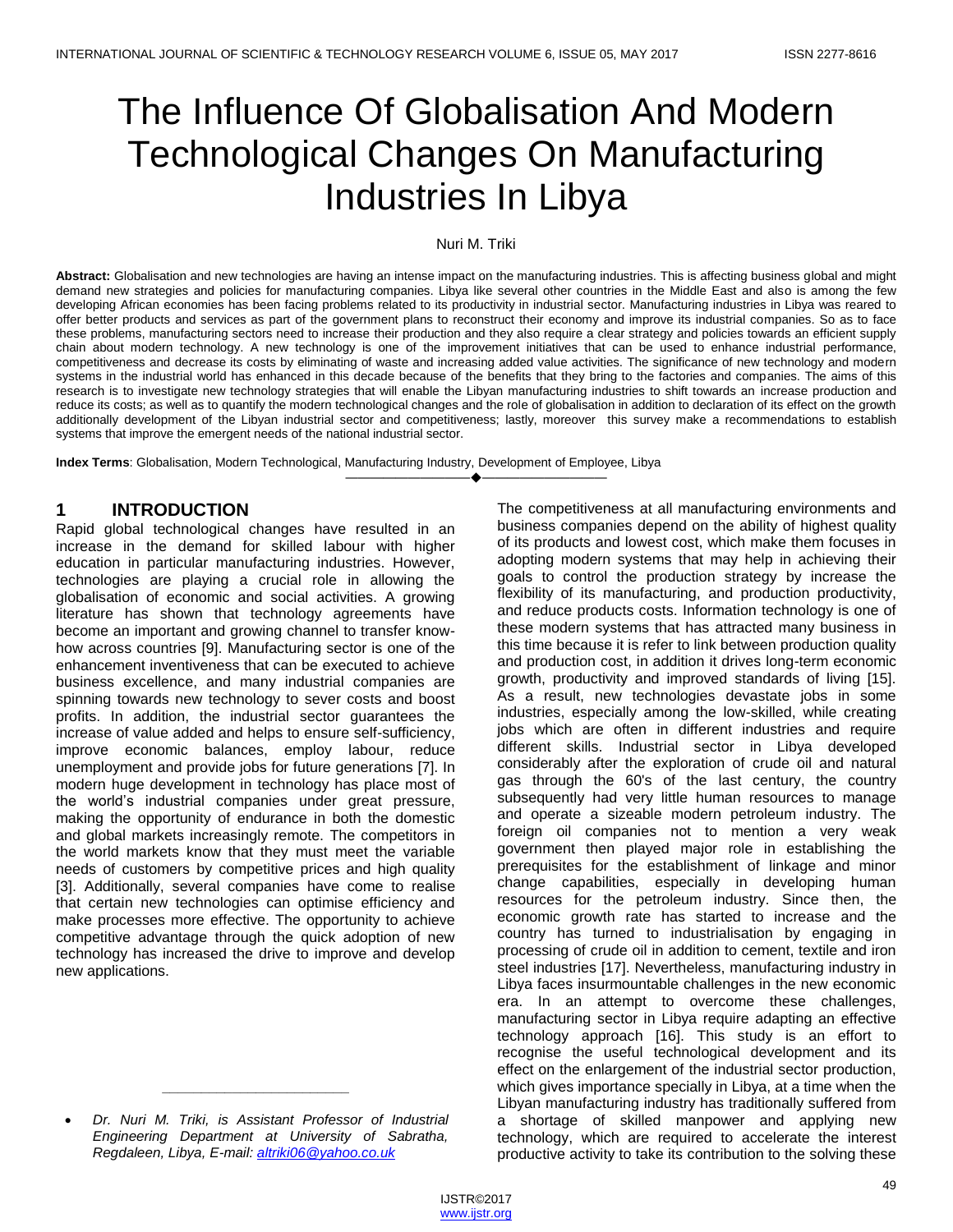# The Influence Of Globalisation And Modern Technological Changes On Manufacturing Industries In Libya

#### Nuri M. Triki

**Abstract:** Globalisation and new technologies are having an intense impact on the manufacturing industries. This is affecting business global and might demand new strategies and policies for manufacturing companies. Libya like several other countries in the Middle East and also is among the few developing African economies has been facing problems related to its productivity in industrial sector. Manufacturing industries in Libya was reared to offer better products and services as part of the government plans to reconstruct their economy and improve its industrial companies. So as to face these problems, manufacturing sectors need to increase their production and they also require a clear strategy and policies towards an efficient supply chain about modern technology. A new technology is one of the improvement initiatives that can be used to enhance industrial performance, competitiveness and decrease its costs by eliminating of waste and increasing added value activities. The significance of new technology and modern systems in the industrial world has enhanced in this decade because of the benefits that they bring to the factories and companies. The aims of this research is to investigate new technology strategies that will enable the Libyan manufacturing industries to shift towards an increase production and reduce its costs; as well as to quantify the modern technological changes and the role of globalisation in addition to declaration of its effect on the growth additionally development of the Libyan industrial sector and competitiveness; lastly, moreover this survey make a recommendations to establish systems that improve the emergent needs of the national industrial sector.

————————————————————

**Index Terms**: Globalisation, Modern Technological, Manufacturing Industry, Development of Employee, Libya

#### **1 INTRODUCTION**

Rapid global technological changes have resulted in an increase in the demand for skilled labour with higher education in particular manufacturing industries. However, technologies are playing a crucial role in allowing the globalisation of economic and social activities. A growing literature has shown that technology agreements have become an important and growing channel to transfer knowhow across countries [9]. Manufacturing sector is one of the enhancement inventiveness that can be executed to achieve business excellence, and many industrial companies are spinning towards new technology to sever costs and boost profits. In addition, the industrial sector guarantees the increase of value added and helps to ensure self-sufficiency, improve economic balances, employ labour, reduce unemployment and provide jobs for future generations [7]. In modern huge development in technology has place most of the world's industrial companies under great pressure, making the opportunity of endurance in both the domestic and global markets increasingly remote. The competitors in the world markets know that they must meet the variable needs of customers by competitive prices and high quality [3]. Additionally, several companies have come to realise that certain new technologies can optimise efficiency and make processes more effective. The opportunity to achieve competitive advantage through the quick adoption of new technology has increased the drive to improve and develop new applications.

*\_\_\_\_\_\_\_\_\_\_\_\_\_\_\_\_\_\_\_\_\_\_\_\_*

The competitiveness at all manufacturing environments and business companies depend on the ability of highest quality of its products and lowest cost, which make them focuses in adopting modern systems that may help in achieving their goals to control the production strategy by increase the flexibility of its manufacturing, and production productivity, and reduce products costs. Information technology is one of these modern systems that has attracted many business in this time because it is refer to link between production quality and production cost, in addition it drives long-term economic growth, productivity and improved standards of living [15]. As a result, new technologies devastate jobs in some industries, especially among the low-skilled, while creating jobs which are often in different industries and require different skills. Industrial sector in Libya developed considerably after the exploration of crude oil and natural gas through the 60's of the last century, the country subsequently had very little human resources to manage and operate a sizeable modern petroleum industry. The foreign oil companies not to mention a very weak government then played major role in establishing the prerequisites for the establishment of linkage and minor change capabilities, especially in developing human resources for the petroleum industry. Since then, the economic growth rate has started to increase and the country has turned to industrialisation by engaging in processing of crude oil in addition to cement, textile and iron steel industries [17]. Nevertheless, manufacturing industry in Libya faces insurmountable challenges in the new economic era. In an attempt to overcome these challenges, manufacturing sector in Libya require adapting an effective technology approach [16]. This study is an effort to recognise the useful technological development and its effect on the enlargement of the industrial sector production, which gives importance specially in Libya, at a time when the Libyan manufacturing industry has traditionally suffered from a shortage of skilled manpower and applying new technology, which are required to accelerate the interest productive activity to take its contribution to the solving these

*Dr. Nuri M. Triki, is Assistant Professor of Industrial Engineering Department at University of Sabratha, Regdaleen, Libya, E-mail: [altriki06@yahoo.co.uk](mailto:altriki06@yahoo.co.uk)*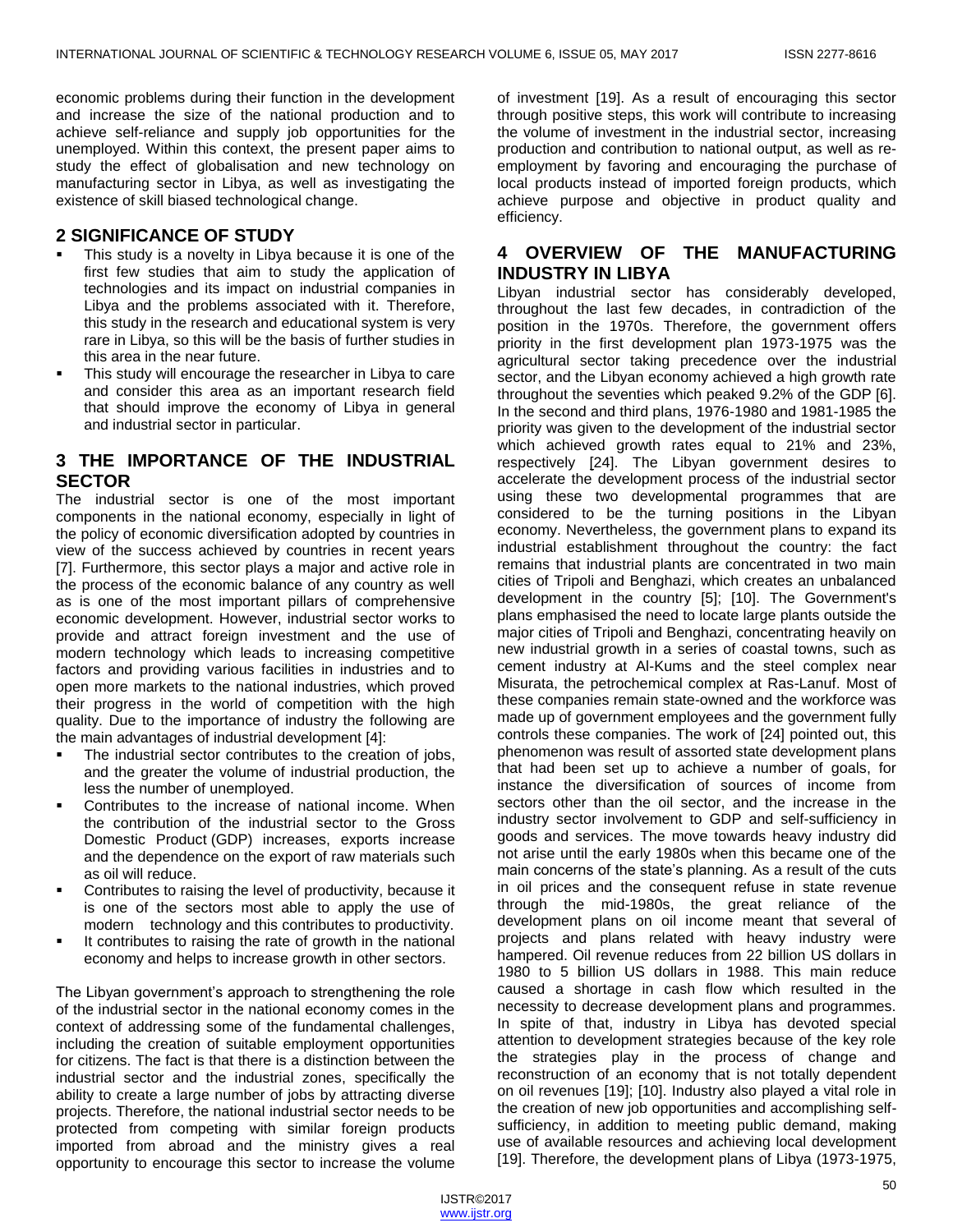economic problems during their function in the development and increase the size of the national production and to achieve self-reliance and supply job opportunities for the unemployed. Within this context, the present paper aims to study the effect of globalisation and new technology on manufacturing sector in Libya, as well as investigating the existence of skill biased technological change.

### **2 SIGNIFICANCE OF STUDY**

- This study is a novelty in Libya because it is one of the first few studies that aim to study the application of technologies and its impact on industrial companies in Libya and the problems associated with it. Therefore, this study in the research and educational system is very rare in Libya, so this will be the basis of further studies in this area in the near future.
- This study will encourage the researcher in Libya to care and consider this area as an important research field that should improve the economy of Libya in general and industrial sector in particular.

## **3 THE IMPORTANCE OF THE INDUSTRIAL SECTOR**

The industrial sector is one of the most important components in the national economy, especially in light of the policy of economic diversification adopted by countries in view of the success achieved by countries in recent years [7]. Furthermore, this sector plays a major and active role in the process of the economic balance of any country as well as is one of the most important pillars of comprehensive economic development. However, industrial sector works to provide and attract foreign investment and the use of modern technology which leads to increasing competitive factors and providing various facilities in industries and to open more markets to the national industries, which proved their progress in the world of competition with the high quality. Due to the importance of industry the following are the main advantages of industrial development [4]:

- The industrial sector contributes to the creation of jobs, and the greater the volume of industrial production, the less the number of unemployed.
- Contributes to the increase of national income. When the contribution of the industrial sector to the Gross Domestic Product (GDP) increases, exports increase and the dependence on the export of raw materials such as oil will reduce.
- Contributes to raising the level of productivity, because it is one of the sectors most able to apply the use of modern technology and this contributes to productivity.
- It contributes to raising the rate of growth in the national economy and helps to increase growth in other sectors.

The Libyan government's approach to strengthening the role of the industrial sector in the national economy comes in the context of addressing some of the fundamental challenges, including the creation of suitable employment opportunities for citizens. The fact is that there is a distinction between the industrial sector and the industrial zones, specifically the ability to create a large number of jobs by attracting diverse projects. Therefore, the national industrial sector needs to be protected from competing with similar foreign products imported from abroad and the ministry gives a real opportunity to encourage this sector to increase the volume of investment [19]. As a result of encouraging this sector through positive steps, this work will contribute to increasing the volume of investment in the industrial sector, increasing production and contribution to national output, as well as reemployment by favoring and encouraging the purchase of local products instead of imported foreign products, which achieve purpose and objective in product quality and efficiency.

## **4 OVERVIEW OF THE MANUFACTURING INDUSTRY IN LIBYA**

Libyan industrial sector has considerably developed, throughout the last few decades, in contradiction of the position in the 1970s. Therefore, the government offers priority in the first development plan 1973-1975 was the agricultural sector taking precedence over the industrial sector, and the Libyan economy achieved a high growth rate throughout the seventies which peaked 9.2% of the GDP [6]. In the second and third plans, 1976-1980 and 1981-1985 the priority was given to the development of the industrial sector which achieved growth rates equal to 21% and 23%, respectively [24]. The Libyan government desires to accelerate the development process of the industrial sector using these two developmental programmes that are considered to be the turning positions in the Libyan economy. Nevertheless, the government plans to expand its industrial establishment throughout the country: the fact remains that industrial plants are concentrated in two main cities of Tripoli and Benghazi, which creates an unbalanced development in the country [5]; [10]. The Government's plans emphasised the need to locate large plants outside the major cities of Tripoli and Benghazi, concentrating heavily on new industrial growth in a series of coastal towns, such as cement industry at Al-Kums and the steel complex near Misurata, the petrochemical complex at Ras-Lanuf. Most of these companies remain state-owned and the workforce was made up of government employees and the government fully controls these companies. The work of [24] pointed out, this phenomenon was result of assorted state development plans that had been set up to achieve a number of goals, for instance the diversification of sources of income from sectors other than the oil sector, and the increase in the industry sector involvement to GDP and self-sufficiency in goods and services. The move towards heavy industry did not arise until the early 1980s when this became one of the main concerns of the state's planning. As a result of the cuts in oil prices and the consequent refuse in state revenue through the mid-1980s, the great reliance of the development plans on oil income meant that several of projects and plans related with heavy industry were hampered. Oil revenue reduces from 22 billion US dollars in 1980 to 5 billion US dollars in 1988. This main reduce caused a shortage in cash flow which resulted in the necessity to decrease development plans and programmes. In spite of that, industry in Libya has devoted special attention to development strategies because of the key role the strategies play in the process of change and reconstruction of an economy that is not totally dependent on oil revenues [19]; [10]. Industry also played a vital role in the creation of new job opportunities and accomplishing selfsufficiency, in addition to meeting public demand, making use of available resources and achieving local development [19]. Therefore, the development plans of Libya (1973-1975,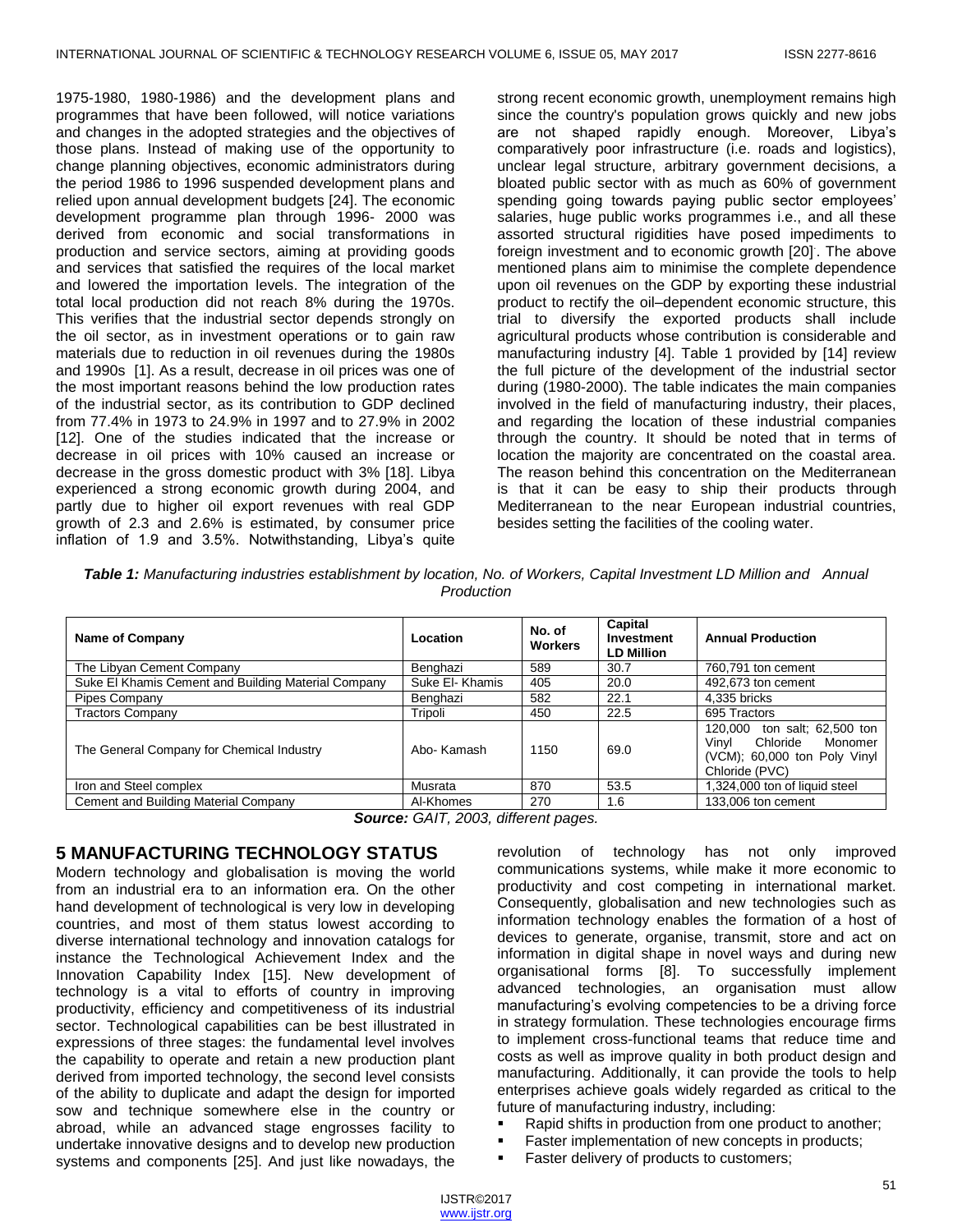1975-1980, 1980-1986) and the development plans and programmes that have been followed, will notice variations and changes in the adopted strategies and the objectives of those plans. Instead of making use of the opportunity to change planning objectives, economic administrators during the period 1986 to 1996 suspended development plans and relied upon annual development budgets [24]. The economic development programme plan through 1996- 2000 was derived from economic and social transformations in production and service sectors, aiming at providing goods and services that satisfied the requires of the local market and lowered the importation levels. The integration of the total local production did not reach 8% during the 1970s. This verifies that the industrial sector depends strongly on the oil sector, as in investment operations or to gain raw materials due to reduction in oil revenues during the 1980s and 1990s [1]. As a result, decrease in oil prices was one of the most important reasons behind the low production rates of the industrial sector, as its contribution to GDP declined from 77.4% in 1973 to 24.9% in 1997 and to 27.9% in 2002 [12]. One of the studies indicated that the increase or decrease in oil prices with 10% caused an increase or decrease in the gross domestic product with 3% [18]. Libya experienced a strong economic growth during 2004, and partly due to higher oil export revenues with real GDP growth of 2.3 and 2.6% is estimated, by consumer price inflation of 1.9 and 3.5%. Notwithstanding, Libya's quite

strong recent economic growth, unemployment remains high since the country's population grows quickly and new jobs are not shaped rapidly enough. Moreover, Libya's comparatively poor infrastructure (i.e. roads and logistics), unclear legal structure, arbitrary government decisions, a bloated public sector with as much as 60% of government spending going towards paying public sector employees' salaries, huge public works programmes i.e., and all these assorted structural rigidities have posed impediments to foreign investment and to economic growth [20]. . The above mentioned plans aim to minimise the complete dependence upon oil revenues on the GDP by exporting these industrial product to rectify the oil–dependent economic structure, this trial to diversify the exported products shall include agricultural products whose contribution is considerable and manufacturing industry [4]. Table 1 provided by [14] review the full picture of the development of the industrial sector during (1980-2000). The table indicates the main companies involved in the field of manufacturing industry, their places, and regarding the location of these industrial companies through the country. It should be noted that in terms of location the majority are concentrated on the coastal area. The reason behind this concentration on the Mediterranean is that it can be easy to ship their products through Mediterranean to the near European industrial countries, besides setting the facilities of the cooling water.

*Table 1: Manufacturing industries establishment by location, No. of Workers, Capital Investment LD Million and Annual Production*

| Location        | No. of<br><b>Workers</b> | Capital<br>Investment<br><b>LD Million</b> | <b>Annual Production</b>                                                                                          |
|-----------------|--------------------------|--------------------------------------------|-------------------------------------------------------------------------------------------------------------------|
| Benghazi        | 589                      | 30.7                                       | 760,791 ton cement                                                                                                |
| Suke El- Khamis | 405                      | 20.0                                       | 492,673 ton cement                                                                                                |
| Benghazi        | 582                      | 22.1                                       | 4.335 bricks                                                                                                      |
| Tripoli         | 450                      | 22.5                                       | 695 Tractors                                                                                                      |
| Abo- Kamash     | 1150                     | 69.0                                       | ton salt; 62,500 ton<br>120.000<br>Chloride<br>Monomer<br>Vinvl<br>(VCM); 60,000 ton Poly Vinyl<br>Chloride (PVC) |
| Musrata         | 870                      | 53.5                                       | 1,324,000 ton of liquid steel                                                                                     |
| Al-Khomes       | 270                      | 1.6                                        | 133,006 ton cement                                                                                                |
|                 |                          |                                            |                                                                                                                   |

*Source: GAIT, 2003, different pages.*

#### **5 MANUFACTURING TECHNOLOGY STATUS**

Modern technology and globalisation is moving the world from an industrial era to an information era. On the other hand development of technological is very low in developing countries, and most of them status lowest according to diverse international technology and innovation catalogs for instance the Technological Achievement Index and the Innovation Capability Index [15]. New development of technology is a vital to efforts of country in improving productivity, efficiency and competitiveness of its industrial sector. Technological capabilities can be best illustrated in expressions of three stages: the fundamental level involves the capability to operate and retain a new production plant derived from imported technology, the second level consists of the ability to duplicate and adapt the design for imported sow and technique somewhere else in the country or abroad, while an advanced stage engrosses facility to undertake innovative designs and to develop new production systems and components [25]. And just like nowadays, the

revolution of technology has not only improved communications systems, while make it more economic to productivity and cost competing in international market. Consequently, globalisation and new technologies such as information technology enables the formation of a host of devices to generate, organise, transmit, store and act on information in digital shape in novel ways and during new organisational forms [8]. To successfully implement advanced technologies, an organisation must allow manufacturing's evolving competencies to be a driving force in strategy formulation. These technologies encourage firms to implement cross-functional teams that reduce time and costs as well as improve quality in both product design and manufacturing. Additionally, it can provide the tools to help enterprises achieve goals widely regarded as critical to the future of manufacturing industry, including:

- Rapid shifts in production from one product to another;
- Faster implementation of new concepts in products;
- Faster delivery of products to customers;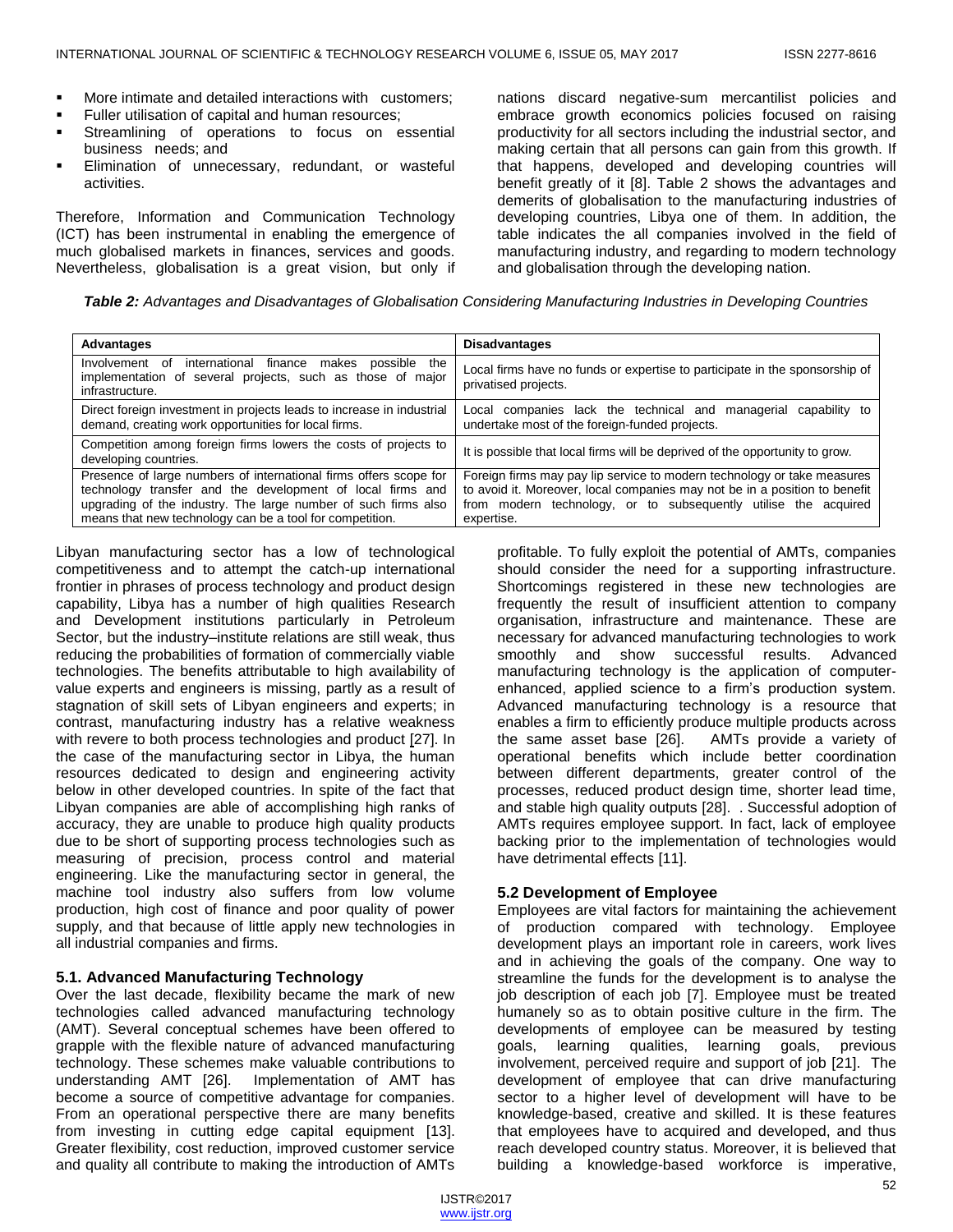- More intimate and detailed interactions with customers;
- Fuller utilisation of capital and human resources;
- **Streamlining of operations to focus on essential** business needs; and
- Elimination of unnecessary, redundant, or wasteful activities.

Therefore, Information and Communication Technology (ICT) has been instrumental in enabling the emergence of much globalised markets in finances, services and goods. Nevertheless, globalisation is a great vision, but only if nations discard negative-sum mercantilist policies and embrace growth economics policies focused on raising productivity for all sectors including the industrial sector, and making certain that all persons can gain from this growth. If that happens, developed and developing countries will benefit greatly of it [8]. Table 2 shows the advantages and demerits of globalisation to the manufacturing industries of developing countries, Libya one of them. In addition, the table indicates the all companies involved in the field of manufacturing industry, and regarding to modern technology and globalisation through the developing nation.

*Table 2: Advantages and Disadvantages of Globalisation Considering Manufacturing Industries in Developing Countries*

| Advantages                                                                                                                                                                                                                                                    | <b>Disadvantages</b>                                                                                                                                                                                                                      |
|---------------------------------------------------------------------------------------------------------------------------------------------------------------------------------------------------------------------------------------------------------------|-------------------------------------------------------------------------------------------------------------------------------------------------------------------------------------------------------------------------------------------|
| international<br>finance makes<br>the<br>Involvement of<br>possible<br>implementation of several projects, such as those of major<br>infrastructure.                                                                                                          | Local firms have no funds or expertise to participate in the sponsorship of<br>privatised projects.                                                                                                                                       |
| Direct foreign investment in projects leads to increase in industrial<br>demand, creating work opportunities for local firms.                                                                                                                                 | Local companies lack the technical and<br>capability<br>managerial<br>to<br>undertake most of the foreign-funded projects.                                                                                                                |
| Competition among foreign firms lowers the costs of projects to<br>developing countries.                                                                                                                                                                      | It is possible that local firms will be deprived of the opportunity to grow.                                                                                                                                                              |
| Presence of large numbers of international firms offers scope for<br>technology transfer and the development of local firms and<br>upgrading of the industry. The large number of such firms also<br>means that new technology can be a tool for competition. | Foreign firms may pay lip service to modern technology or take measures<br>to avoid it. Moreover, local companies may not be in a position to benefit<br>from modern technology, or to subsequently utilise the<br>acquired<br>expertise. |

Libyan manufacturing sector has a low of technological competitiveness and to attempt the catch-up international frontier in phrases of process technology and product design capability, Libya has a number of high qualities Research and Development institutions particularly in Petroleum Sector, but the industry–institute relations are still weak, thus reducing the probabilities of formation of commercially viable technologies. The benefits attributable to high availability of value experts and engineers is missing, partly as a result of stagnation of skill sets of Libyan engineers and experts; in contrast, manufacturing industry has a relative weakness with revere to both process technologies and product [27]. In the case of the manufacturing sector in Libya, the human resources dedicated to design and engineering activity below in other developed countries. In spite of the fact that Libyan companies are able of accomplishing high ranks of accuracy, they are unable to produce high quality products due to be short of supporting process technologies such as measuring of precision, process control and material engineering. Like the manufacturing sector in general, the machine tool industry also suffers from low volume production, high cost of finance and poor quality of power supply, and that because of little apply new technologies in all industrial companies and firms.

#### **5.1. Advanced Manufacturing Technology**

Over the last decade, flexibility became the mark of new technologies called advanced manufacturing technology (AMT). Several conceptual schemes have been offered to grapple with the flexible nature of advanced manufacturing technology. These schemes make valuable contributions to understanding AMT [26]. Implementation of AMT has become a source of competitive advantage for companies. From an operational perspective there are many benefits from investing in cutting edge capital equipment [13]. Greater flexibility, cost reduction, improved customer service and quality all contribute to making the introduction of AMTs

profitable. To fully exploit the potential of AMTs, companies should consider the need for a supporting infrastructure. Shortcomings registered in these new technologies are frequently the result of insufficient attention to company organisation, infrastructure and maintenance. These are necessary for advanced manufacturing technologies to work smoothly and show successful results. Advanced manufacturing technology is the application of computerenhanced, applied science to a firm's production system. Advanced manufacturing technology is a resource that enables a firm to efficiently produce multiple products across the same asset base [26]. AMTs provide a variety of operational benefits which include better coordination between different departments, greater control of the processes, reduced product design time, shorter lead time, and stable high quality outputs [28]. . Successful adoption of AMTs requires employee support. In fact, lack of employee backing prior to the implementation of technologies would have detrimental effects [11].

#### **5.2 Development of Employee**

Employees are vital factors for maintaining the achievement of production compared with technology. Employee development plays an important role in careers, work lives and in achieving the goals of the company. One way to streamline the funds for the development is to analyse the job description of each job [7]. Employee must be treated humanely so as to obtain positive culture in the firm. The developments of employee can be measured by testing goals, learning qualities, learning goals, previous involvement, perceived require and support of job [21]. The development of employee that can drive manufacturing sector to a higher level of development will have to be knowledge-based, creative and skilled. It is these features that employees have to acquired and developed, and thus reach developed country status. Moreover, it is believed that building a knowledge-based workforce is imperative,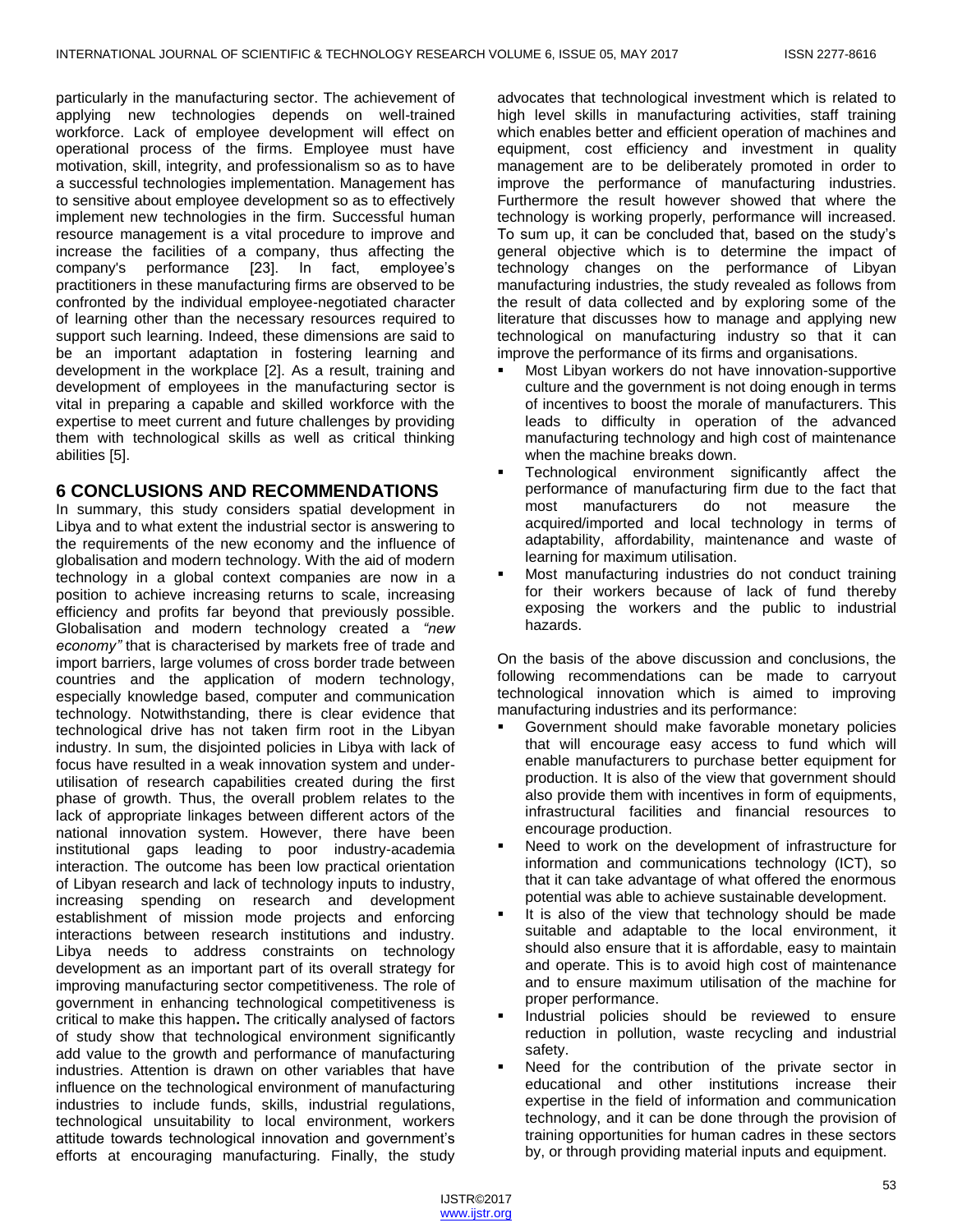particularly in the manufacturing sector. The achievement of applying new technologies depends on well-trained workforce. Lack of employee development will effect on operational process of the firms. Employee must have motivation, skill, integrity, and professionalism so as to have a successful technologies implementation. Management has to sensitive about employee development so as to effectively implement new technologies in the firm. Successful human resource management is a vital procedure to improve and increase the facilities of a company, thus affecting the company's performance [23]. In fact, employee's practitioners in these manufacturing firms are observed to be confronted by the individual employee-negotiated character of learning other than the necessary resources required to support such learning. Indeed, these dimensions are said to be an important adaptation in fostering learning and development in the workplace [2]. As a result, training and development of employees in the manufacturing sector is vital in preparing a capable and skilled workforce with the expertise to meet current and future challenges by providing them with technological skills as well as critical thinking abilities [5].

## **6 CONCLUSIONS AND RECOMMENDATIONS**

In summary, this study considers spatial development in Libya and to what extent the industrial sector is answering to the requirements of the new economy and the influence of globalisation and modern technology. With the aid of modern technology in a global context companies are now in a position to achieve increasing returns to scale, increasing efficiency and profits far beyond that previously possible. Globalisation and modern technology created a *"new economy"* that is characterised by markets free of trade and import barriers, large volumes of cross border trade between countries and the application of modern technology, especially knowledge based, computer and communication technology. Notwithstanding, there is clear evidence that technological drive has not taken firm root in the Libyan industry. In sum, the disjointed policies in Libya with lack of focus have resulted in a weak innovation system and underutilisation of research capabilities created during the first phase of growth. Thus, the overall problem relates to the lack of appropriate linkages between different actors of the national innovation system. However, there have been institutional gaps leading to poor industry-academia interaction. The outcome has been low practical orientation of Libyan research and lack of technology inputs to industry, increasing spending on research and development establishment of mission mode projects and enforcing interactions between research institutions and industry. Libya needs to address constraints on technology development as an important part of its overall strategy for improving manufacturing sector competitiveness. The role of government in enhancing technological competitiveness is critical to make this happen**.** The critically analysed of factors of study show that technological environment significantly add value to the growth and performance of manufacturing industries. Attention is drawn on other variables that have influence on the technological environment of manufacturing industries to include funds, skills, industrial regulations, technological unsuitability to local environment, workers attitude towards technological innovation and government's efforts at encouraging manufacturing. Finally, the study

advocates that technological investment which is related to high level skills in manufacturing activities, staff training which enables better and efficient operation of machines and equipment, cost efficiency and investment in quality management are to be deliberately promoted in order to improve the performance of manufacturing industries. Furthermore the result however showed that where the technology is working properly, performance will increased. To sum up, it can be concluded that, based on the study's general objective which is to determine the impact of technology changes on the performance of Libyan manufacturing industries, the study revealed as follows from the result of data collected and by exploring some of the literature that discusses how to manage and applying new technological on manufacturing industry so that it can improve the performance of its firms and organisations.

- Most Libyan workers do not have innovation-supportive culture and the government is not doing enough in terms of incentives to boost the morale of manufacturers. This leads to difficulty in operation of the advanced manufacturing technology and high cost of maintenance when the machine breaks down.
- Technological environment significantly affect the performance of manufacturing firm due to the fact that most manufacturers do not measure the acquired/imported and local technology in terms of adaptability, affordability, maintenance and waste of learning for maximum utilisation.
- Most manufacturing industries do not conduct training for their workers because of lack of fund thereby exposing the workers and the public to industrial hazards.

On the basis of the above discussion and conclusions, the following recommendations can be made to carryout technological innovation which is aimed to improving manufacturing industries and its performance:

- Government should make favorable monetary policies that will encourage easy access to fund which will enable manufacturers to purchase better equipment for production. It is also of the view that government should also provide them with incentives in form of equipments, infrastructural facilities and financial resources to encourage production.
- Need to work on the development of infrastructure for information and communications technology (ICT), so that it can take advantage of what offered the enormous potential was able to achieve sustainable development.
- It is also of the view that technology should be made suitable and adaptable to the local environment, it should also ensure that it is affordable, easy to maintain and operate. This is to avoid high cost of maintenance and to ensure maximum utilisation of the machine for proper performance.
- Industrial policies should be reviewed to ensure reduction in pollution, waste recycling and industrial safety.
- Need for the contribution of the private sector in educational and other institutions increase their expertise in the field of information and communication technology, and it can be done through the provision of training opportunities for human cadres in these sectors by, or through providing material inputs and equipment.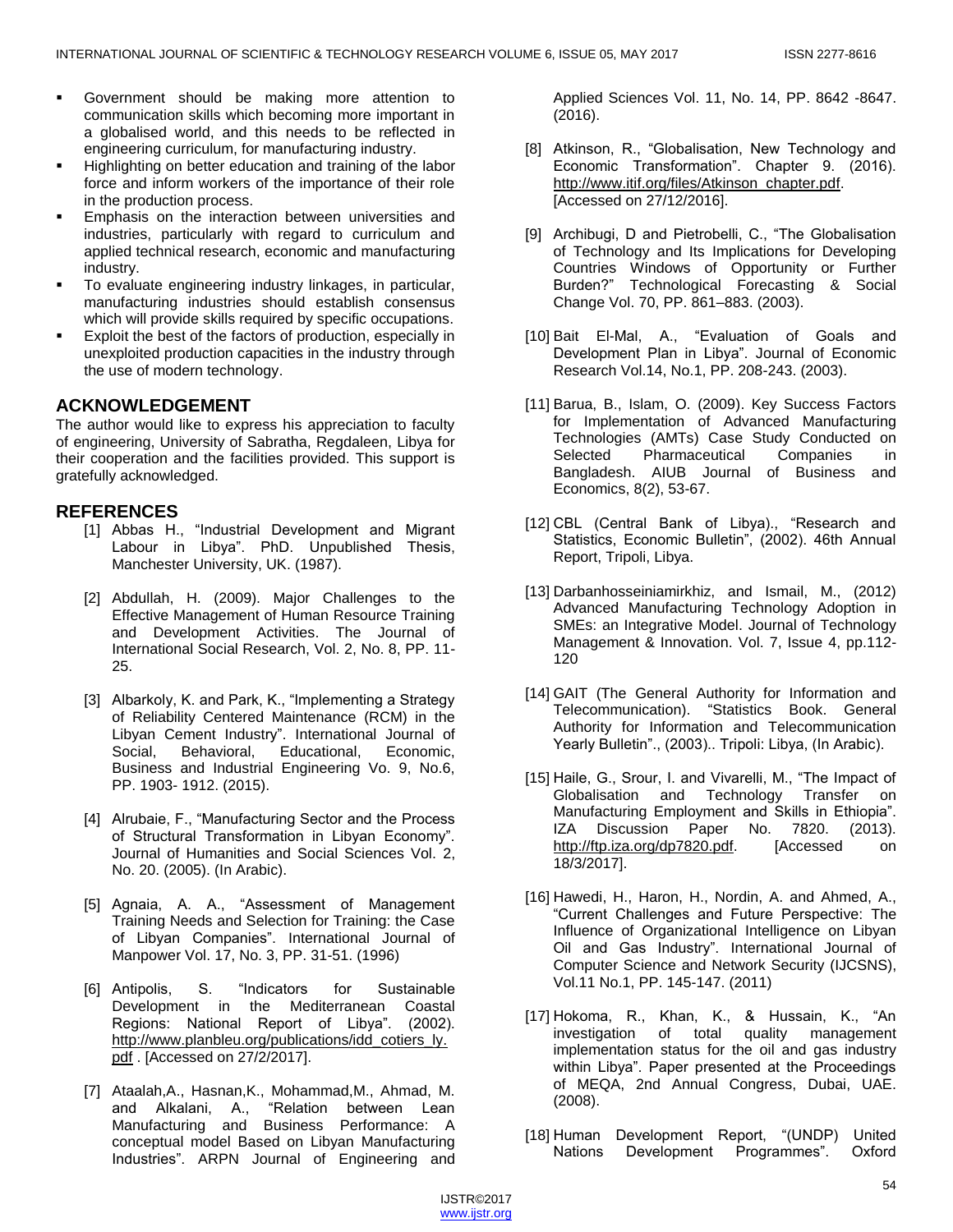- Government should be making more attention to communication skills which becoming more important in a globalised world, and this needs to be reflected in engineering curriculum, for manufacturing industry.
- Highlighting on better education and training of the labor force and inform workers of the importance of their role in the production process.
- Emphasis on the interaction between universities and industries, particularly with regard to curriculum and applied technical research, economic and manufacturing industry.
- To evaluate engineering industry linkages, in particular, manufacturing industries should establish consensus which will provide skills required by specific occupations.
- Exploit the best of the factors of production, especially in unexploited production capacities in the industry through the use of modern technology.

## **ACKNOWLEDGEMENT**

The author would like to express his appreciation to faculty of engineering, University of Sabratha, Regdaleen, Libya for their cooperation and the facilities provided. This support is gratefully acknowledged.

#### **REFERENCES**

- [1] Abbas H., "Industrial Development and Migrant Labour in Libya". PhD. Unpublished Thesis, Manchester University, UK. (1987).
- [2] Abdullah, H. (2009). Major Challenges to the Effective Management of Human Resource Training and Development Activities. The Journal of International Social Research, Vol. 2, No. 8, PP. 11- 25.
- [3] Albarkoly, K. and Park, K., "Implementing a Strategy of Reliability Centered Maintenance (RCM) in the Libyan Cement Industry". International Journal of Social, Behavioral, Educational, Economic, Business and Industrial Engineering Vo. 9, No.6, PP. 1903- 1912. (2015).
- [4] Alrubaie, F., "Manufacturing Sector and the Process of Structural Transformation in Libyan Economy". Journal of Humanities and Social Sciences Vol. 2, No. 20. (2005). (In Arabic).
- [5] Agnaia, A. A., "Assessment of Management Training Needs and Selection for Training: the Case of Libyan Companies". International Journal of Manpower Vol. 17, No. 3, PP. 31-51. (1996)
- [6] Antipolis, S. "Indicators for Sustainable Development in the Mediterranean Coastal Regions: National Report of Libya". (2002). [http://www.planbleu.org/publications/idd\\_cotiers\\_ly.](http://www.planbleu.org/publications/idd_cotiers_ly.pdf) [pdf](http://www.planbleu.org/publications/idd_cotiers_ly.pdf) . [Accessed on 27/2/2017].
- [7] Ataalah,A., Hasnan,K., Mohammad,M., Ahmad, M. and Alkalani, A., "Relation between Lean Manufacturing and Business Performance: A conceptual model Based on Libyan Manufacturing Industries". ARPN Journal of Engineering and

Applied Sciences Vol. 11, No. 14, PP. 8642 -8647. (2016).

- [8] Atkinson, R., "Globalisation, New Technology and Economic Transformation". Chapter 9. (2016). [http://www.itif.org/files/Atkinson\\_chapter.pdf.](http://www.itif.org/files/Atkinson_chapter.pdf) [Accessed on 27/12/2016].
- [9] Archibugi, D and Pietrobelli, C., "The Globalisation of Technology and Its Implications for Developing Countries Windows of Opportunity or Further Burden?‖ Technological Forecasting & Social Change Vol. 70, PP. 861–883. (2003).
- [10] Bait El-Mal, A., "Evaluation of Goals and Development Plan in Libya". Journal of Economic Research Vol.14, No.1, PP. 208-243. (2003).
- [11] Barua, B., Islam, O. (2009). Key Success Factors for Implementation of Advanced Manufacturing Technologies (AMTs) Case Study Conducted on Selected Pharmaceutical Companies in Bangladesh. AIUB Journal of Business and Economics, 8(2), 53-67.
- [12] CBL (Central Bank of Libya)., "Research and Statistics, Economic Bulletin", (2002). 46th Annual Report, Tripoli, Libya.
- [13] Darbanhosseiniamirkhiz, and Ismail, M., (2012) Advanced Manufacturing Technology Adoption in SMEs: an Integrative Model. Journal of Technology Management & Innovation. Vol. 7, Issue 4, pp.112- 120
- [14] GAIT (The General Authority for Information and Telecommunication). "Statistics Book. General Authority for Information and Telecommunication Yearly Bulletin"., (2003).. Tripoli: Libya, (In Arabic).
- [15] Haile, G., Srour, I. and Vivarelli, M., "The Impact of Globalisation and Technology Transfer on Manufacturing Employment and Skills in Ethiopia". IZA Discussion Paper No. 7820. (2013). [http://ftp.iza.org/dp7820.pdf.](http://ftp.iza.org/dp7820.pdf) [Accessed on 18/3/2017].
- [16] Hawedi, H., Haron, H., Nordin, A. and Ahmed, A., ―Current Challenges and Future Perspective: The Influence of Organizational Intelligence on Libyan Oil and Gas Industry". International Journal of Computer Science and Network Security (IJCSNS), Vol.11 No.1, PP. 145-147. (2011)
- [17] Hokoma, R., Khan, K., & Hussain, K., "An investigation of total quality management implementation status for the oil and gas industry within Libya". Paper presented at the Proceedings of MEQA, 2nd Annual Congress, Dubai, UAE. (2008).
- [18] Human Development Report, "(UNDP) United Nations Development Programmes". Oxford